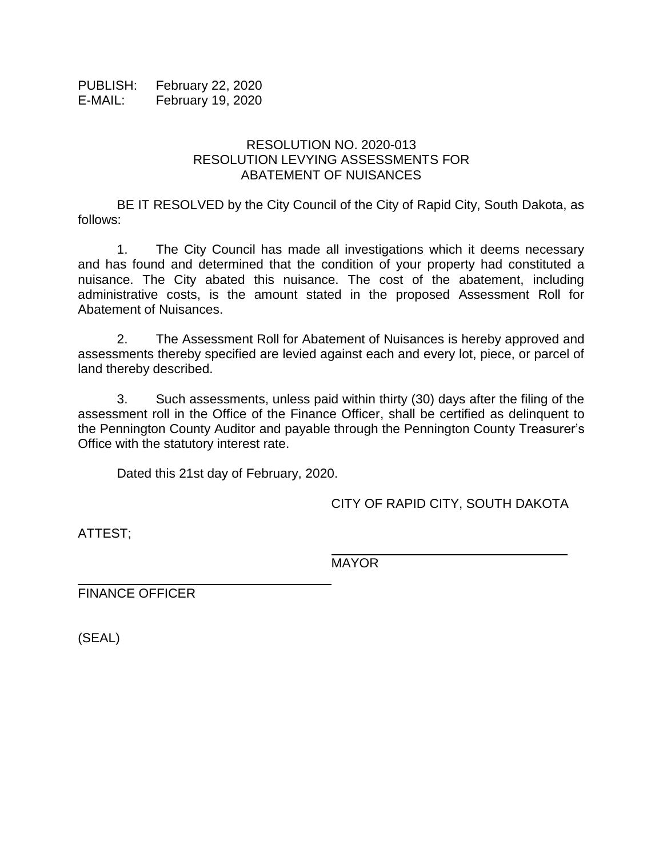PUBLISH: February 22, 2020 E-MAIL: February 19, 2020

## RESOLUTION NO. 2020-013 RESOLUTION LEVYING ASSESSMENTS FOR ABATEMENT OF NUISANCES

BE IT RESOLVED by the City Council of the City of Rapid City, South Dakota, as follows:

1. The City Council has made all investigations which it deems necessary and has found and determined that the condition of your property had constituted a nuisance. The City abated this nuisance. The cost of the abatement, including administrative costs, is the amount stated in the proposed Assessment Roll for Abatement of Nuisances.

2. The Assessment Roll for Abatement of Nuisances is hereby approved and assessments thereby specified are levied against each and every lot, piece, or parcel of land thereby described.

3. Such assessments, unless paid within thirty (30) days after the filing of the assessment roll in the Office of the Finance Officer, shall be certified as delinquent to the Pennington County Auditor and payable through the Pennington County Treasurer's Office with the statutory interest rate.

Dated this 21st day of February, 2020.

CITY OF RAPID CITY, SOUTH DAKOTA

\_\_\_\_\_\_\_\_\_\_\_\_\_\_\_\_\_\_\_\_\_\_\_\_\_\_\_\_\_\_

ATTEST;

MAYOR

FINANCE OFFICER

(SEAL)